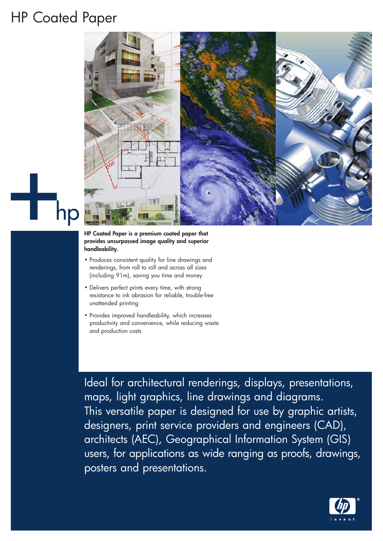## HP Coated Paper



## **HP Coated Paper is a premium coated paper that provides unsurpassed image quality and superior handleability.**

- Produces consistent quality for line drawings and renderings, from roll to roll and across all sizes (including 91m), saving you time and money
- Delivers perfect prints every time, with strong resistance to ink abrasion for reliable, trouble-free unattended printing
- Provides improved handleability, which increases productivity and convenience, while reducing waste and production costs

Ideal for architectural renderings, displays, presentations, maps, light graphics, line drawings and diagrams. This versatile paper is designed for use by graphic artists, designers, print service providers and engineers (CAD), architects (AEC), Geographical Information System (GIS) users, for applications as wide ranging as proofs, drawings, posters and presentations.